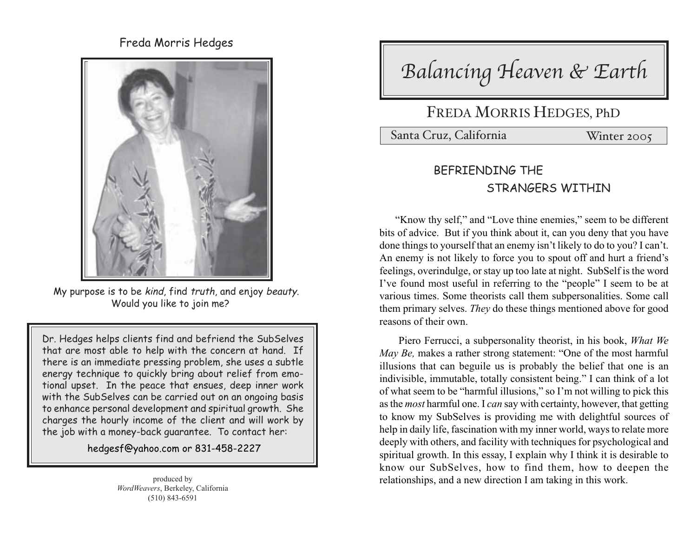Freda Morris Hedges



My purpose is to be kind, find truth, and enjoy beauty. Would you like to join me?

Dr. Hedges helps clients find and befriend the SubSelves that are most able to help with the concern at hand. If there is an immediate pressing problem, she uses a subtle energy technique to quickly bring about relief from emotional upset. In the peace that ensues, deep inner work with the SubSelves can be carried out on an ongoing basis to enhance personal development and spiritual growth. She charges the hourly income of the client and will work by the job with a money-back guarantee. To contact her:

hedgesf@yahoo.com or 831-458-2227

Balancing Heaven & Earth

## FREDA MORRIS HEDGES, PhD

Santa Cruz, California Winter 2005

## BEFRIENDING THE STRANGERS WITHIN

"Know thy self," and "Love thine enemies," seem to be different bits of advice. But if you think about it, can you deny that you have done things to yourself that an enemy isn't likely to do to you? I can't. An enemy is not likely to force you to spout off and hurt a friend's feelings, overindulge, or stay up too late at night. SubSelf is the word I've found most useful in referring to the "people" I seem to be at various times. Some theorists call them subpersonalities. Some call them primary selves. *They* do these things mentioned above for good reasons of their own.

Piero Ferrucci, a subpersonality theorist, in his book, *What We May Be,* makes a rather strong statement: "One of the most harmful illusions that can beguile us is probably the belief that one is an indivisible, immutable, totally consistent being." I can think of a lot of what seem to be "harmful illusions," so I'm not willing to pick this as the *most* harmful one. I *can* say with certainty, however, that getting to know my SubSelves is providing me with delightful sources of help in daily life, fascination with my inner world, ways to relate more deeply with others, and facility with techniques for psychological and spiritual growth. In this essay, I explain why I think it is desirable to know our SubSelves, how to find them, how to deepen the relationships, and a new direction I am taking in this work.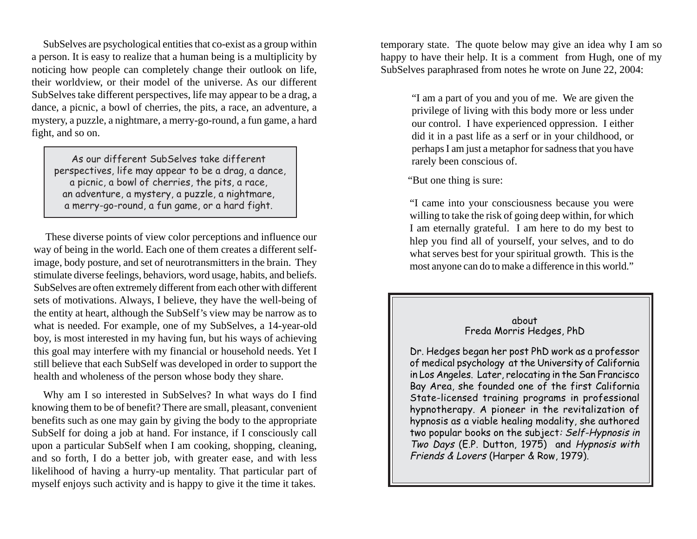SubSelves are psychological entities that co-exist as a group within a person. It is easy to realize that a human being is a multiplicity by noticing how people can completely change their outlook on life, their worldview, or their model of the universe. As our different SubSelves take different perspectives, life may appear to be a drag, a dance, a picnic, a bowl of cherries, the pits, a race, an adventure, a mystery, a puzzle, a nightmare, a merry-go-round, a fun game, a hard fight, and so on.

As our different SubSelves take different perspectives, life may appear to be a drag, a dance, a picnic, a bowl of cherries, the pits, a race, an adventure, a mystery, a puzzle, a nightmare, a merry-go-round, a fun game, or a hard fight.

These diverse points of view color perceptions and influence our way of being in the world. Each one of them creates a different selfimage, body posture, and set of neurotransmitters in the brain. They stimulate diverse feelings, behaviors, word usage, habits, and beliefs. SubSelves are often extremely different from each other with different sets of motivations. Always, I believe, they have the well-being of the entity at heart, although the SubSelf's view may be narrow as to what is needed. For example, one of my SubSelves, a 14-year-old boy, is most interested in my having fun, but his ways of achieving this goal may interfere with my financial or household needs. Yet I still believe that each SubSelf was developed in order to support the health and wholeness of the person whose body they share.

Why am I so interested in SubSelves? In what ways do I find knowing them to be of benefit? There are small, pleasant, convenient benefits such as one may gain by giving the body to the appropriate SubSelf for doing a job at hand. For instance, if I consciously call upon a particular SubSelf when I am cooking, shopping, cleaning, and so forth, I do a better job, with greater ease, and with less likelihood of having a hurry-up mentality. That particular part of myself enjoys such activity and is happy to give it the time it takes.

temporary state. The quote below may give an idea why I am so happy to have their help. It is a comment from Hugh, one of my SubSelves paraphrased from notes he wrote on June 22, 2004:

> "I am a part of you and you of me. We are given the privilege of living with this body more or less under our control. I have experienced oppression. I either did it in a past life as a serf or in your childhood, or perhaps I am just a metaphor for sadness that you have rarely been conscious of.

"But one thing is sure:

"I came into your consciousness because you were willing to take the risk of going deep within, for which I am eternally grateful. I am here to do my best to hlep you find all of yourself, your selves, and to do what serves best for your spiritual growth. This is the most anyone can do to make a difference in this world."

## about Freda Morris Hedges, PhD

Dr. Hedges began her post PhD work as a professor of medical psychology at the University of California in Los Angeles. Later, relocating in the San Francisco Bay Area, she founded one of the first California State-licensed training programs in professional hypnotherapy. A pioneer in the revitalization of hypnosis as a viable healing modality, she authored two popular books on the subject: Self-Hypnosis in Two Days (E.P. Dutton, 1975) and Hypnosis with Friends & Lovers (Harper & Row, 1979).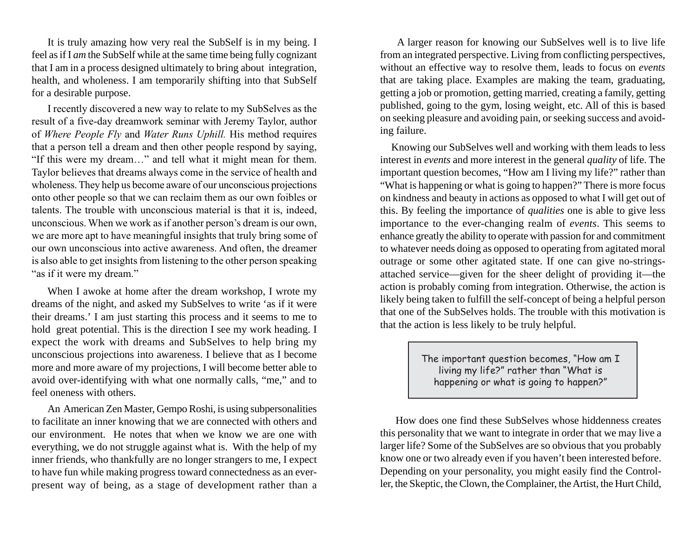It is truly amazing how very real the SubSelf is in my being. I feel as if I *am* the SubSelf while at the same time being fully cognizant that I am in a process designed ultimately to bring about integration, health, and wholeness. I am temporarily shifting into that SubSelf for a desirable purpose.

I recently discovered a new way to relate to my SubSelves as the result of a five-day dreamwork seminar with Jeremy Taylor, author of *Where People Fly* and *Water Runs Uphill.* His method requires that a person tell a dream and then other people respond by saying, "If this were my dream…" and tell what it might mean for them. Taylor believes that dreams always come in the service of health and wholeness. They help us become aware of our unconscious projections onto other people so that we can reclaim them as our own foibles or talents. The trouble with unconscious material is that it is, indeed, unconscious. When we work as if another person's dream is our own, we are more apt to have meaningful insights that truly bring some of our own unconscious into active awareness. And often, the dreamer is also able to get insights from listening to the other person speaking "as if it were my dream."

When I awoke at home after the dream workshop, I wrote my dreams of the night, and asked my SubSelves to write 'as if it were their dreams.' I am just starting this process and it seems to me to hold great potential. This is the direction I see my work heading. I expect the work with dreams and SubSelves to help bring my unconscious projections into awareness. I believe that as I become more and more aware of my projections, I will become better able to avoid over-identifying with what one normally calls, "me," and to feel oneness with others.

An American Zen Master, Gempo Roshi, is using subpersonalities to facilitate an inner knowing that we are connected with others and our environment. He notes that when we know we are one with everything, we do not struggle against what is. With the help of my inner friends, who thankfully are no longer strangers to me, I expect to have fun while making progress toward connectedness as an everpresent way of being, as a stage of development rather than a

A larger reason for knowing our SubSelves well is to live life from an integrated perspective. Living from conflicting perspectives, without an effective way to resolve them, leads to focus on *events* that are taking place. Examples are making the team, graduating, getting a job or promotion, getting married, creating a family, getting published, going to the gym, losing weight, etc. All of this is based on seeking pleasure and avoiding pain, or seeking success and avoiding failure.

Knowing our SubSelves well and working with them leads to less interest in *events* and more interest in the general *quality* of life. The important question becomes, "How am I living my life?" rather than "What is happening or what is going to happen?" There is more focus on kindness and beauty in actions as opposed to what I will get out of this. By feeling the importance of *qualities* one is able to give less importance to the ever-changing realm of *events*. This seems to enhance greatly the ability to operate with passion for and commitment to whatever needs doing as opposed to operating from agitated moral outrage or some other agitated state. If one can give no-stringsattached service—given for the sheer delight of providing it—the action is probably coming from integration. Otherwise, the action is likely being taken to fulfill the self-concept of being a helpful person that one of the SubSelves holds. The trouble with this motivation is that the action is less likely to be truly helpful.

> The important question becomes, "How am I living my life?" rather than "What is happening or what is going to happen?"

How does one find these SubSelves whose hiddenness creates this personality that we want to integrate in order that we may live a larger life? Some of the SubSelves are so obvious that you probably know one or two already even if you haven't been interested before. Depending on your personality, you might easily find the Controller, the Skeptic, the Clown, the Complainer, the Artist, the Hurt Child,